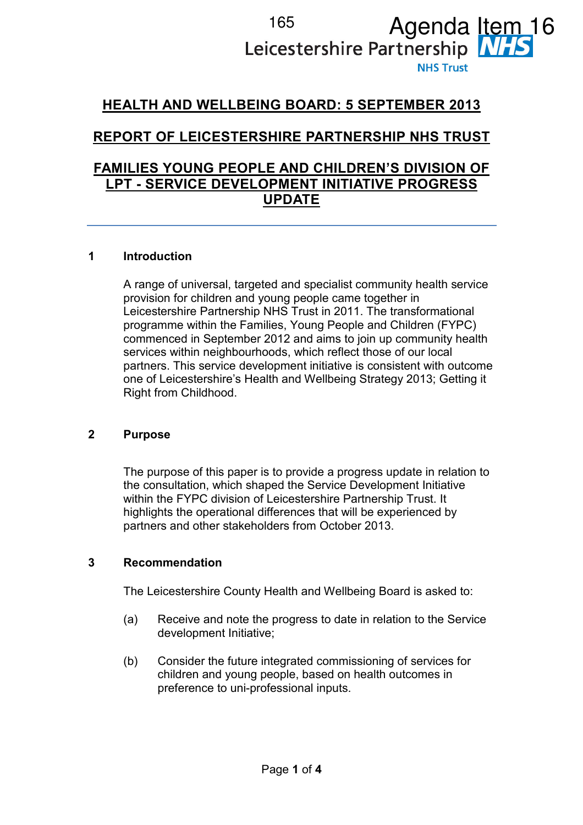# <sup>165</sup> Agenda Item<br>Leicestershire Partnership **MHS NHS Trust**

## HEALTH AND WELLBEING BOARD: 5 SEPTEMBER 2013

# REPORT OF LEICESTERSHIRE PARTNERSHIP NHS TRUST

### FAMILIES YOUNG PEOPLE AND CHILDREN'S DIVISION OF LPT - SERVICE DEVELOPMENT INITIATIVE PROGRESS UPDATE

#### 1 Introduction

A range of universal, targeted and specialist community health service provision for children and young people came together in Leicestershire Partnership NHS Trust in 2011. The transformational programme within the Families, Young People and Children (FYPC) commenced in September 2012 and aims to join up community health services within neighbourhoods, which reflect those of our local partners. This service development initiative is consistent with outcome one of Leicestershire's Health and Wellbeing Strategy 2013; Getting it Right from Childhood.

#### 2 Purpose

The purpose of this paper is to provide a progress update in relation to the consultation, which shaped the Service Development Initiative within the FYPC division of Leicestershire Partnership Trust. It highlights the operational differences that will be experienced by partners and other stakeholders from October 2013.

#### 3 Recommendation

The Leicestershire County Health and Wellbeing Board is asked to:

- (a) Receive and note the progress to date in relation to the Service development Initiative;
- (b) Consider the future integrated commissioning of services for children and young people, based on health outcomes in preference to uni-professional inputs.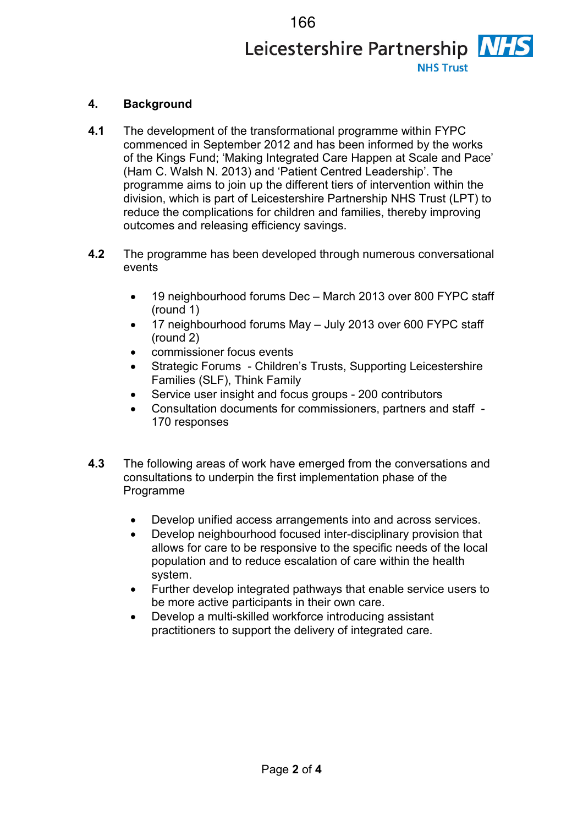# 166Leicestershire Partnership NHS **NHS Trust**

#### 4. Background

- 4.1 The development of the transformational programme within FYPC commenced in September 2012 and has been informed by the works of the Kings Fund; 'Making Integrated Care Happen at Scale and Pace' (Ham C. Walsh N. 2013) and 'Patient Centred Leadership'. The programme aims to join up the different tiers of intervention within the division, which is part of Leicestershire Partnership NHS Trust (LPT) to reduce the complications for children and families, thereby improving outcomes and releasing efficiency savings.
- 4.2 The programme has been developed through numerous conversational events
	- 19 neighbourhood forums Dec March 2013 over 800 FYPC staff (round 1)
	- 17 neighbourhood forums May July 2013 over 600 FYPC staff (round 2)
	- commissioner focus events
	- Strategic Forums Children's Trusts, Supporting Leicestershire Families (SLF), Think Family
	- Service user insight and focus groups 200 contributors
	- Consultation documents for commissioners, partners and staff 170 responses
- 4.3 The following areas of work have emerged from the conversations and consultations to underpin the first implementation phase of the Programme
	- Develop unified access arrangements into and across services.
	- Develop neighbourhood focused inter-disciplinary provision that allows for care to be responsive to the specific needs of the local population and to reduce escalation of care within the health system.
	- Further develop integrated pathways that enable service users to be more active participants in their own care.
	- Develop a multi-skilled workforce introducing assistant practitioners to support the delivery of integrated care.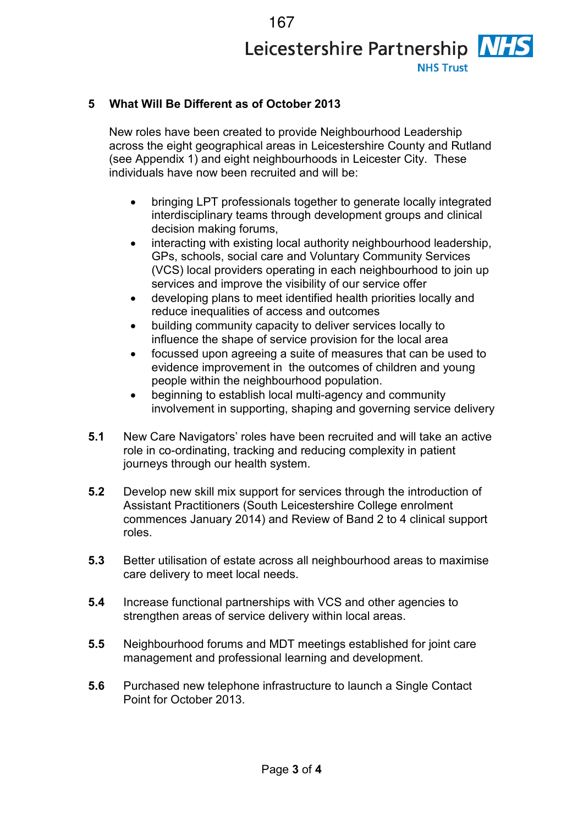167Leicestershire Partnership NHS **NHS Trust** 

#### 5 What Will Be Different as of October 2013

New roles have been created to provide Neighbourhood Leadership across the eight geographical areas in Leicestershire County and Rutland (see Appendix 1) and eight neighbourhoods in Leicester City. These individuals have now been recruited and will be:

- bringing LPT professionals together to generate locally integrated interdisciplinary teams through development groups and clinical decision making forums,
- interacting with existing local authority neighbourhood leadership, GPs, schools, social care and Voluntary Community Services (VCS) local providers operating in each neighbourhood to join up services and improve the visibility of our service offer
- developing plans to meet identified health priorities locally and reduce inequalities of access and outcomes
- building community capacity to deliver services locally to influence the shape of service provision for the local area
- focussed upon agreeing a suite of measures that can be used to evidence improvement in the outcomes of children and young people within the neighbourhood population.
- beginning to establish local multi-agency and community involvement in supporting, shaping and governing service delivery
- 5.1 New Care Navigators' roles have been recruited and will take an active role in co-ordinating, tracking and reducing complexity in patient journeys through our health system.
- 5.2 Develop new skill mix support for services through the introduction of Assistant Practitioners (South Leicestershire College enrolment commences January 2014) and Review of Band 2 to 4 clinical support roles.
- 5.3 Better utilisation of estate across all neighbourhood areas to maximise care delivery to meet local needs.
- 5.4 Increase functional partnerships with VCS and other agencies to strengthen areas of service delivery within local areas.
- 5.5 Neighbourhood forums and MDT meetings established for joint care management and professional learning and development.
- 5.6 Purchased new telephone infrastructure to launch a Single Contact Point for October 2013.